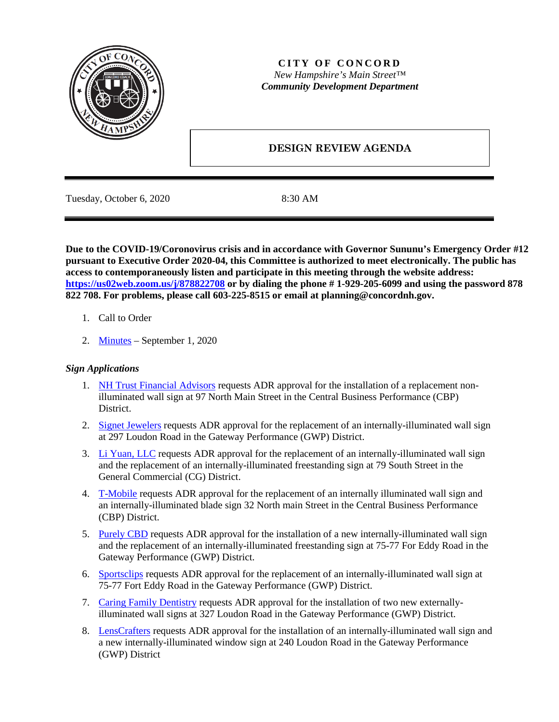

# **CITY OF CONCORD** *New Hampshire's Main Street™ Community Development Department*

# **DESIGN REVIEW AGENDA**

Tuesday, October 6, 2020 8:30 AM

**Due to the COVID-19/Coronovirus crisis and in accordance with Governor Sununu's Emergency Order #12 pursuant to Executive Order 2020-04, this Committee is authorized to meet electronically. The public has access to contemporaneously listen and participate in this meeting through the website address: <https://us02web.zoom.us/j/878822708> or by dialing the phone # 1-929-205-6099 and using the password 878 822 708. For problems, please call 603-225-8515 or email at planning@concordnh.gov.**

- 1. Call to Order
- 2. [Minutes](https://www.concordnh.gov/DocumentCenter/View/15673/08042020) September 1, 2020

# *Sign Applications*

- 1. [NH Trust Financial Advisors](https://www.concordnh.gov/DocumentCenter/View/15939/97-N-Main---NH-Trust---ADR-Sign-Submission) requests ADR approval for the installation of a replacement nonilluminated wall sign at 97 North Main Street in the Central Business Performance (CBP) District.
- 2. [Signet Jewelers](https://www.concordnh.gov/DocumentCenter/View/15929/297-Loudon-Rd---Jared---ADR-sign-submission) requests ADR approval for the replacement of an internally-illuminated wall sign at 297 Loudon Road in the Gateway Performance (GWP) District.
- 3. [Li Yuan, LLC](https://www.concordnh.gov/DocumentCenter/View/15935/ManYee_ADR) requests ADR approval for the replacement of an internally-illuminated wall sign and the replacement of an internally-illuminated freestanding sign at 79 South Street in the General Commercial (CG) District.
- 4. [T-Mobile](https://www.concordnh.gov/DocumentCenter/View/15936/MetroTMobile_ADR) requests ADR approval for the replacement of an internally illuminated wall sign and an internally-illuminated blade sign 32 North main Street in the Central Business Performance (CBP) District.
- 5. [Purely CBD](https://www.concordnh.gov/DocumentCenter/View/15937/Purely-CBD-ADR-75-77-Ft-Eddy-Rd) requests ADR approval for the installation of a new internally-illuminated wall sign and the replacement of an internally-illuminated freestanding sign at 75-77 For Eddy Road in the Gateway Performance (GWP) District.
- 6. [Sportsclips](https://www.concordnh.gov/DocumentCenter/View/15938/SportClip-ADR-75-77-Ft-Eddy-Rd) requests ADR approval for the replacement of an internally-illuminated wall sign at 75-77 Fort Eddy Road in the Gateway Performance (GWP) District.
- 7. [Caring Family Dentistry](https://www.concordnh.gov/DocumentCenter/View/15932/Caring-Family-Dentistry_ADR) requests ADR approval for the installation of two new externallyilluminated wall signs at 327 Loudon Road in the Gateway Performance (GWP) District.
- 8. [LensCrafters](https://www.concordnh.gov/DocumentCenter/View/15934/Lenscrafters-240-Loudon-Road_ADR) requests ADR approval for the installation of an internally-illuminated wall sign and a new internally-illuminated window sign at 240 Loudon Road in the Gateway Performance (GWP) District